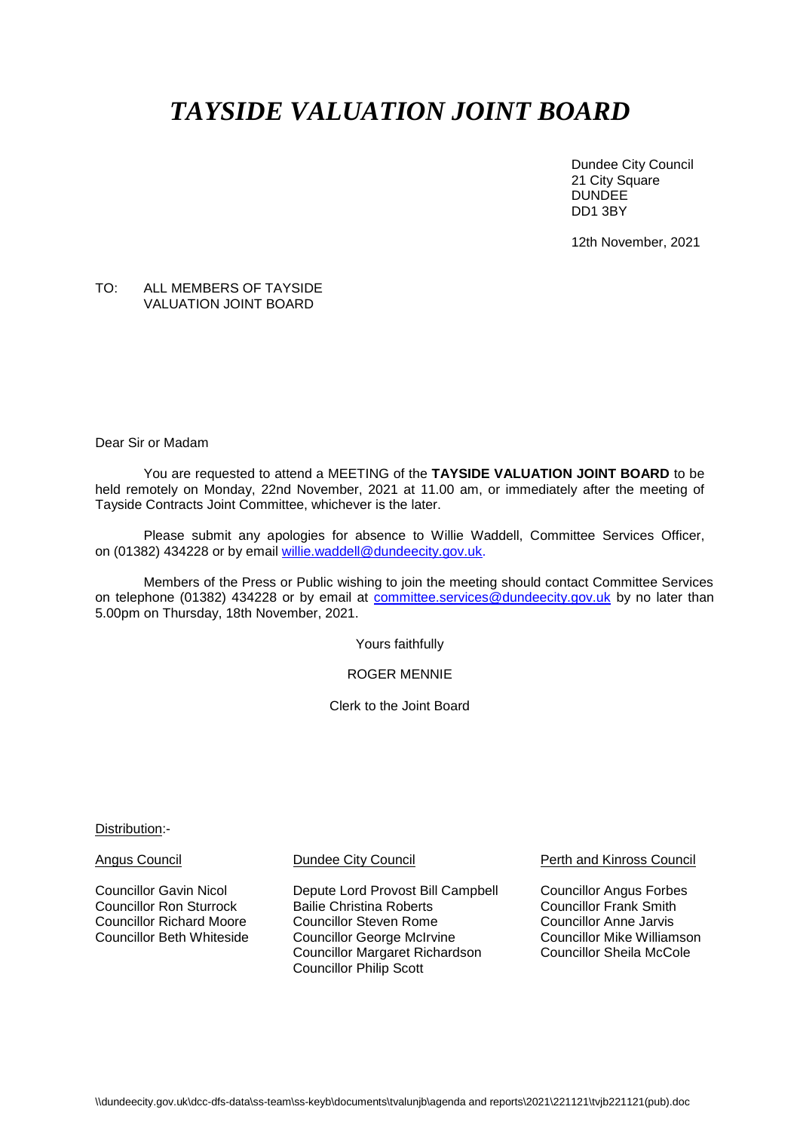# *TAYSIDE VALUATION JOINT BOARD*

Dundee City Council 21 City Square DUNDEE DD1 3BY

12th November, 2021

## TO: ALL MEMBERS OF TAYSIDE VALUATION JOINT BOARD

Dear Sir or Madam

You are requested to attend a MEETING of the **TAYSIDE VALUATION JOINT BOARD** to be held remotely on Monday, 22nd November, 2021 at 11.00 am, or immediately after the meeting of Tayside Contracts Joint Committee, whichever is the later.

Please submit any apologies for absence to Willie Waddell, Committee Services Officer, on (01382) 434228 or by email [willie.waddell@dundeecity.gov.uk.](mailto:willie.waddell@dundeecity.gov.uk)

Members of the Press or Public wishing to join the meeting should contact Committee Services on telephone (01382) 434228 or by email at [committee.services@dundeecity.gov.uk](mailto:committee.services@dundeecity.gov.uk) by no later than 5.00pm on Thursday, 18th November, 2021.

Yours faithfully

#### ROGER MENNIE

Clerk to the Joint Board

Distribution:-

Councillor Gavin Nicol **Depute Lord Provost Bill Campbell** Councillor Angus Forbes<br>Councillor Ron Sturrock Bailie Christina Roberts Councillor Frank Smith Councillor Ron Sturrock Bailie Christina Roberts Councillor Frank Smith Councillor Richard Moore Councillor Steven Rome<br>Councillor Beth Whiteside Councillor George McIrvine Councillor Mike Williamson Councillor George McIrvine Councillor Margaret Richardson Councillor Sheila McCole Councillor Philip Scott

Angus Council **Dundee City Council Perth and Kinross Council Perth and Kinross Council**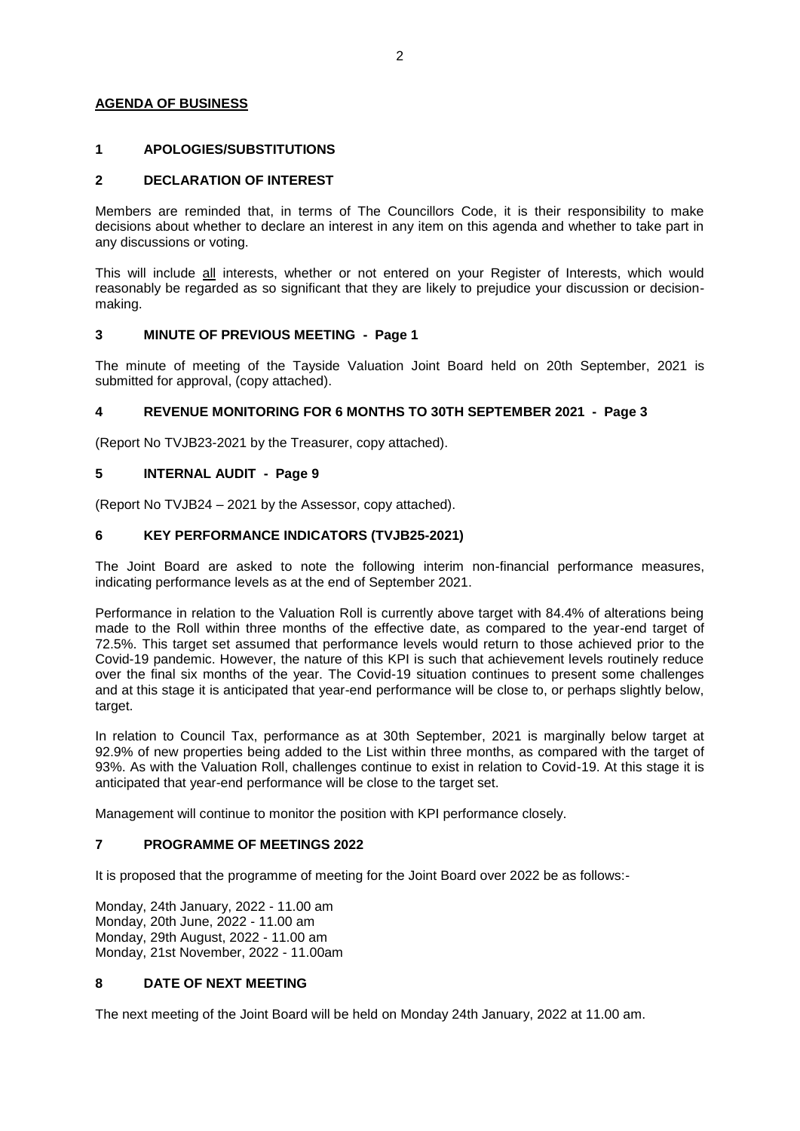## **AGENDA OF BUSINESS**

# **1 APOLOGIES/SUBSTITUTIONS**

# **2 DECLARATION OF INTEREST**

Members are reminded that, in terms of The Councillors Code, it is their responsibility to make decisions about whether to declare an interest in any item on this agenda and whether to take part in any discussions or voting.

This will include all interests, whether or not entered on your Register of Interests, which would reasonably be regarded as so significant that they are likely to prejudice your discussion or decisionmaking.

### **3 MINUTE OF PREVIOUS MEETING - Page 1**

The minute of meeting of the Tayside Valuation Joint Board held on 20th September, 2021 is submitted for approval, (copy attached).

## **4 REVENUE MONITORING FOR 6 MONTHS TO 30TH SEPTEMBER 2021 - Page 3**

(Report No TVJB23-2021 by the Treasurer, copy attached).

#### **5 INTERNAL AUDIT - Page 9**

(Report No TVJB24 – 2021 by the Assessor, copy attached).

# **6 KEY PERFORMANCE INDICATORS (TVJB25-2021)**

The Joint Board are asked to note the following interim non-financial performance measures, indicating performance levels as at the end of September 2021.

Performance in relation to the Valuation Roll is currently above target with 84.4% of alterations being made to the Roll within three months of the effective date, as compared to the year-end target of 72.5%. This target set assumed that performance levels would return to those achieved prior to the Covid-19 pandemic. However, the nature of this KPI is such that achievement levels routinely reduce over the final six months of the year. The Covid-19 situation continues to present some challenges and at this stage it is anticipated that year-end performance will be close to, or perhaps slightly below, target.

In relation to Council Tax, performance as at 30th September, 2021 is marginally below target at 92.9% of new properties being added to the List within three months, as compared with the target of 93%. As with the Valuation Roll, challenges continue to exist in relation to Covid-19. At this stage it is anticipated that year-end performance will be close to the target set.

Management will continue to monitor the position with KPI performance closely.

# **7 PROGRAMME OF MEETINGS 2022**

It is proposed that the programme of meeting for the Joint Board over 2022 be as follows:-

Monday, 24th January, 2022 - 11.00 am Monday, 20th June, 2022 - 11.00 am Monday, 29th August, 2022 - 11.00 am Monday, 21st November, 2022 - 11.00am

#### **8 DATE OF NEXT MEETING**

The next meeting of the Joint Board will be held on Monday 24th January, 2022 at 11.00 am.